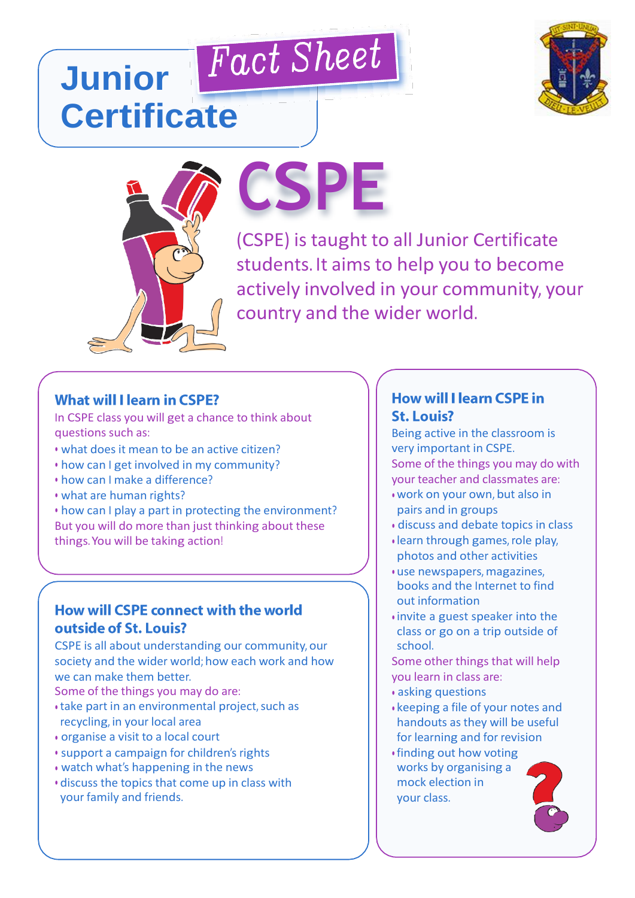

## **Junior Certificate**



# **CSPE**

(CSPE) is taught to all Junior Certificate students. It aims to help you to become actively involved in your community, your country and the wider world.

#### **What will I learn in CSPE?**

In CSPE class you will get a chance to think about questions such as:

- what does it mean to be an active citizen?
- how can I get involved in my community?
- how can I make a difference?
- what are human rights?

• how can I play a part in protecting the environment? But you will do more than just thinking about these things.You will be taking action!

#### How will CSPE connect with the world outside of St. Louis?

CSPE is all about understanding our community, our society and the wider world; how each work and how we can make them better.

- Some of the things you may do are:
- take part in an environmental project, such as recycling, in your local area
- organise a visit to a local court
- support a campaign for children's rights
- watch what's happening in the news
- discuss the topics that come up in class with your family and friends.

#### **How will I learn CSPE in St. Louis?**

Being active in the classroom is very important in CSPE. Some of the things you may do with your teacher and classmates are:

- work on your own, but also in pairs and in groups
- discuss and debate topics in class
- learn through games,role play, photos and other activities
- use newspapers, magazines, books and the Internet to find out information
- invite a guest speaker into the class or go on a trip outside of school.

Some other things that will help you learn in class are:

- asking questions
- keeping a file of your notes and handouts as they will be useful for learning and for revision
- finding out how voting works by organising a mock election in your class.